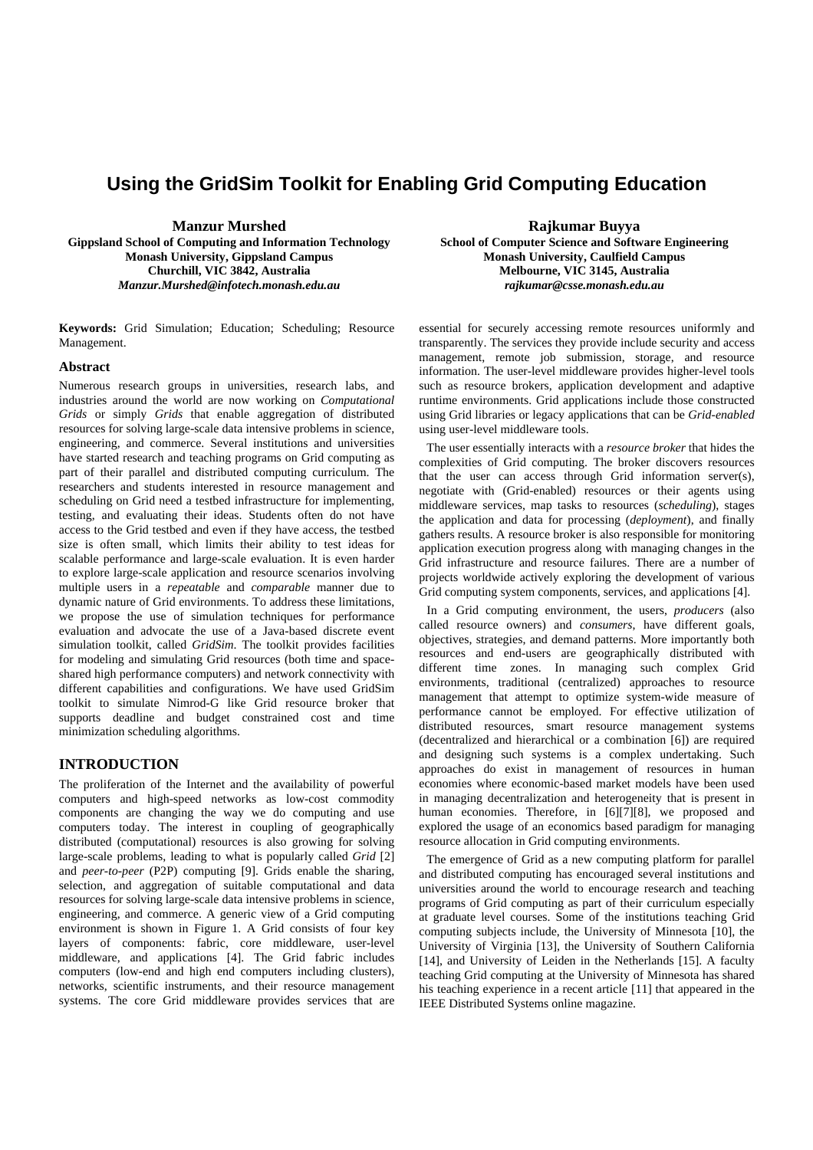# **Using the GridSim Toolkit for Enabling Grid Computing Education**

**Manzur Murshed Gippsland School of Computing and Information Technology Monash University, Gippsland Campus Churchill, VIC 3842, Australia**  *Manzur.Murshed@infotech.monash.edu.au*

**Keywords:** Grid Simulation; Education; Scheduling; Resource Management.

#### **Abstract**

Numerous research groups in universities, research labs, and industries around the world are now working on *Computational Grids* or simply *Grids* that enable aggregation of distributed resources for solving large-scale data intensive problems in science, engineering, and commerce. Several institutions and universities have started research and teaching programs on Grid computing as part of their parallel and distributed computing curriculum. The researchers and students interested in resource management and scheduling on Grid need a testbed infrastructure for implementing, testing, and evaluating their ideas. Students often do not have access to the Grid testbed and even if they have access, the testbed size is often small, which limits their ability to test ideas for scalable performance and large-scale evaluation. It is even harder to explore large-scale application and resource scenarios involving multiple users in a *repeatable* and *comparable* manner due to dynamic nature of Grid environments. To address these limitations, we propose the use of simulation techniques for performance evaluation and advocate the use of a Java-based discrete event simulation toolkit, called *GridSim*. The toolkit provides facilities for modeling and simulating Grid resources (both time and spaceshared high performance computers) and network connectivity with different capabilities and configurations. We have used GridSim toolkit to simulate Nimrod-G like Grid resource broker that supports deadline and budget constrained cost and time minimization scheduling algorithms.

# **INTRODUCTION**

The proliferation of the Internet and the availability of powerful computers and high-speed networks as low-cost commodity components are changing the way we do computing and use computers today. The interest in coupling of geographically distributed (computational) resources is also growing for solving large-scale problems, leading to what is popularly called *Grid* [\[2\]](#page-6-0)  and *peer-to-peer* (P2P) computing [\[9\].](#page-6-1) Grids enable the sharing, selection, and aggregation of suitable computational and data resources for solving large-scale data intensive problems in science, engineering, and commerce. A generic view of a Grid computing environment is shown in Figure 1. A Grid consists of four key layers of components: fabric, core middleware, user-level middleware, and applications [\[4\].](#page-6-2) The Grid fabric includes computers (low-end and high end computers including clusters), networks, scientific instruments, and their resource management systems. The core Grid middleware provides services that are

**Rajkumar Buyya School of Computer Science and Software Engineering Monash University, Caulfield Campus Melbourne, VIC 3145, Australia**  *rajkumar@csse.monash.edu.au*

essential for securely accessing remote resources uniformly and transparently. The services they provide include security and access management, remote job submission, storage, and resource information. The user-level middleware provides higher-level tools such as resource brokers, application development and adaptive runtime environments. Grid applications include those constructed using Grid libraries or legacy applications that can be *Grid-enabled* using user-level middleware tools.

The user essentially interacts with a *resource broker* that hides the complexities of Grid computing. The broker discovers resources that the user can access through Grid information server(s), negotiate with (Grid-enabled) resources or their agents using middleware services, map tasks to resources (*scheduling*), stages the application and data for processing (*deployment*), and finally gathers results. A resource broker is also responsible for monitoring application execution progress along with managing changes in the Grid infrastructure and resource failures. There are a number of projects worldwide actively exploring the development of various Grid computing system components, services, and applications [4].

In a Grid computing environment, the users, *producers* (also called resource owners) and *consumers*, have different goals, objectives, strategies, and demand patterns. More importantly both resources and end-users are geographically distributed with different time zones. In managing such complex Grid environments, traditional (centralized) approaches to resource management that attempt to optimize system-wide measure of performance cannot be employed. For effective utilization of distributed resources, smart resource management systems (decentralized and hierarchical or a combination [\[6\]\)](#page-6-3) are required and designing such systems is a complex undertaking. Such approaches do exist in management of resources in human economies where economic-based market models have been used in managing decentralization and heterogeneity that is present in human economies. Therefore, in [\[6\]](#page-6-3)[\[7\]](#page-6-4)[\[8\],](#page-6-5) we proposed and explored the usage of an economics based paradigm for managing resource allocation in Grid computing environments.

The emergence of Grid as a new computing platform for parallel and distributed computing has encouraged several institutions and universities around the world to encourage research and teaching programs of Grid computing as part of their curriculum especially at graduate level courses. Some of the institutions teaching Grid computing subjects include, the University of Minnesota [\[10\],](#page-6-6) the University of Virginia [\[13\],](#page-6-7) the University of Southern California [\[14\],](#page-6-8) and University of Leiden in the Netherlands [\[15\].](#page-6-9) A faculty teaching Grid computing at the University of Minnesota has shared his teaching experience in a recent article [\[11\]](#page-6-10) that appeared in the IEEE Distributed Systems online magazine.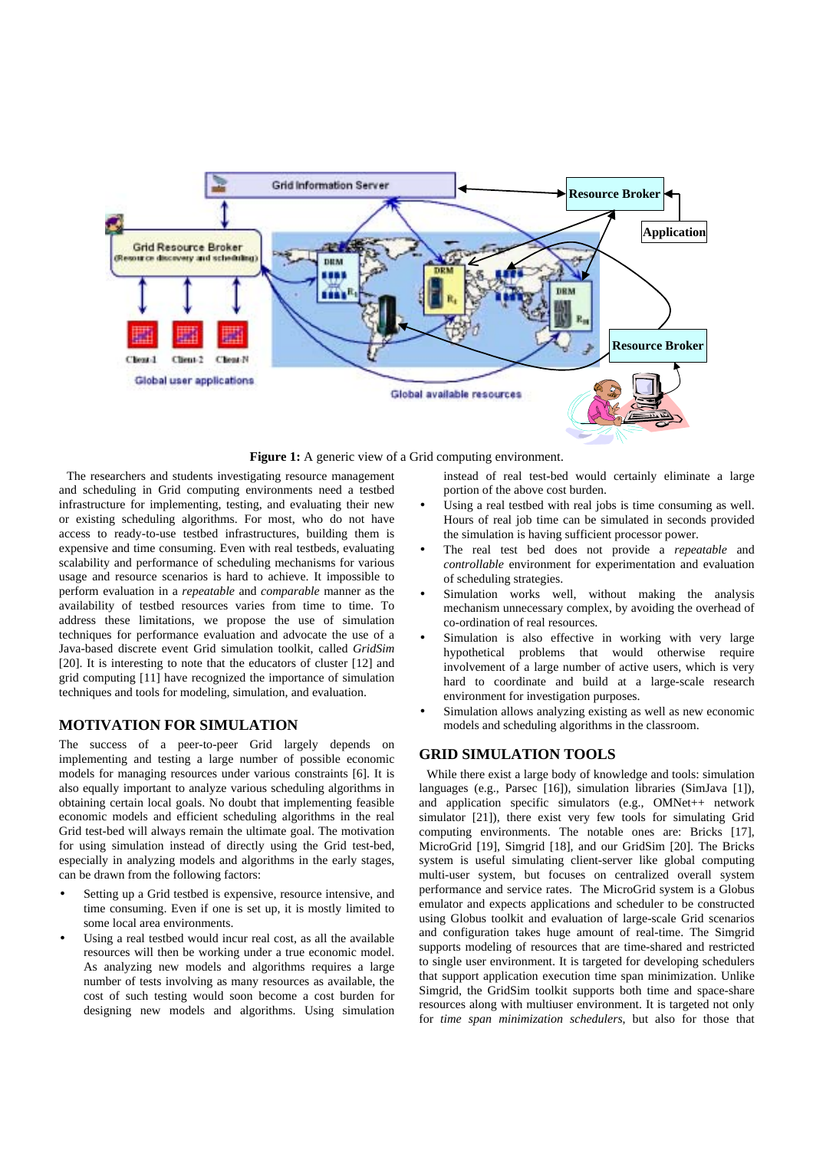



The researchers and students investigating resource management and scheduling in Grid computing environments need a testbed infrastructure for implementing, testing, and evaluating their new or existing scheduling algorithms. For most, who do not have access to ready-to-use testbed infrastructures, building them is expensive and time consuming. Even with real testbeds, evaluating scalability and performance of scheduling mechanisms for various usage and resource scenarios is hard to achieve. It impossible to perform evaluation in a *repeatable* and *comparable* manner as the availability of testbed resources varies from time to time. To address these limitations, we propose the use of simulation techniques for performance evaluation and advocate the use of a Java-based discrete event Grid simulation toolkit, called *GridSim* [\[20\].](#page-6-11) It is interesting to note that the educators of cluster [\[12\]](#page-6-12) and grid computing [\[11\]](#page-6-10) have recognized the importance of simulation techniques and tools for modeling, simulation, and evaluation.

# **MOTIVATION FOR SIMULATION**

The success of a peer-to-peer Grid largely depends on implementing and testing a large number of possible economic models for managing resources under various constraints [\[6\].](#page-6-3) It is also equally important to analyze various scheduling algorithms in obtaining certain local goals. No doubt that implementing feasible economic models and efficient scheduling algorithms in the real Grid test-bed will always remain the ultimate goal. The motivation for using simulation instead of directly using the Grid test-bed, especially in analyzing models and algorithms in the early stages, can be drawn from the following factors:

- Setting up a Grid testbed is expensive, resource intensive, and time consuming. Even if one is set up, it is mostly limited to some local area environments.
- Using a real testbed would incur real cost, as all the available resources will then be working under a true economic model. As analyzing new models and algorithms requires a large number of tests involving as many resources as available, the cost of such testing would soon become a cost burden for designing new models and algorithms. Using simulation

instead of real test-bed would certainly eliminate a large portion of the above cost burden.

- Using a real testbed with real jobs is time consuming as well. Hours of real job time can be simulated in seconds provided the simulation is having sufficient processor power.
- The real test bed does not provide a *repeatable* and *controllable* environment for experimentation and evaluation of scheduling strategies.
- Simulation works well, without making the analysis mechanism unnecessary complex, by avoiding the overhead of co-ordination of real resources.
- Simulation is also effective in working with very large hypothetical problems that would otherwise require involvement of a large number of active users, which is very hard to coordinate and build at a large-scale research environment for investigation purposes.
- Simulation allows analyzing existing as well as new economic models and scheduling algorithms in the classroom.

# **GRID SIMULATION TOOLS**

While there exist a large body of knowledge and tools: simulation languages (e.g., Parsec [\[16\]\)](#page-6-13), simulation libraries (SimJava [\[1\]\)](#page-6-14), and application specific simulators (e.g., OMNet++ network simulator [\[21\]\)](#page-6-15), there exist very few tools for simulating Grid computing environments. The notable ones are: Bricks [\[17\],](#page-6-16) MicroGrid [\[19\],](#page-6-17) Simgrid [\[18\],](#page-6-18) and our GridSim [\[20\].](#page-6-11) The Bricks system is useful simulating client-server like global computing multi-user system, but focuses on centralized overall system performance and service rates. The MicroGrid system is a Globus emulator and expects applications and scheduler to be constructed using Globus toolkit and evaluation of large-scale Grid scenarios and configuration takes huge amount of real-time. The Simgrid supports modeling of resources that are time-shared and restricted to single user environment. It is targeted for developing schedulers that support application execution time span minimization. Unlike Simgrid, the GridSim toolkit supports both time and space-share resources along with multiuser environment. It is targeted not only for *time span minimization schedulers*, but also for those that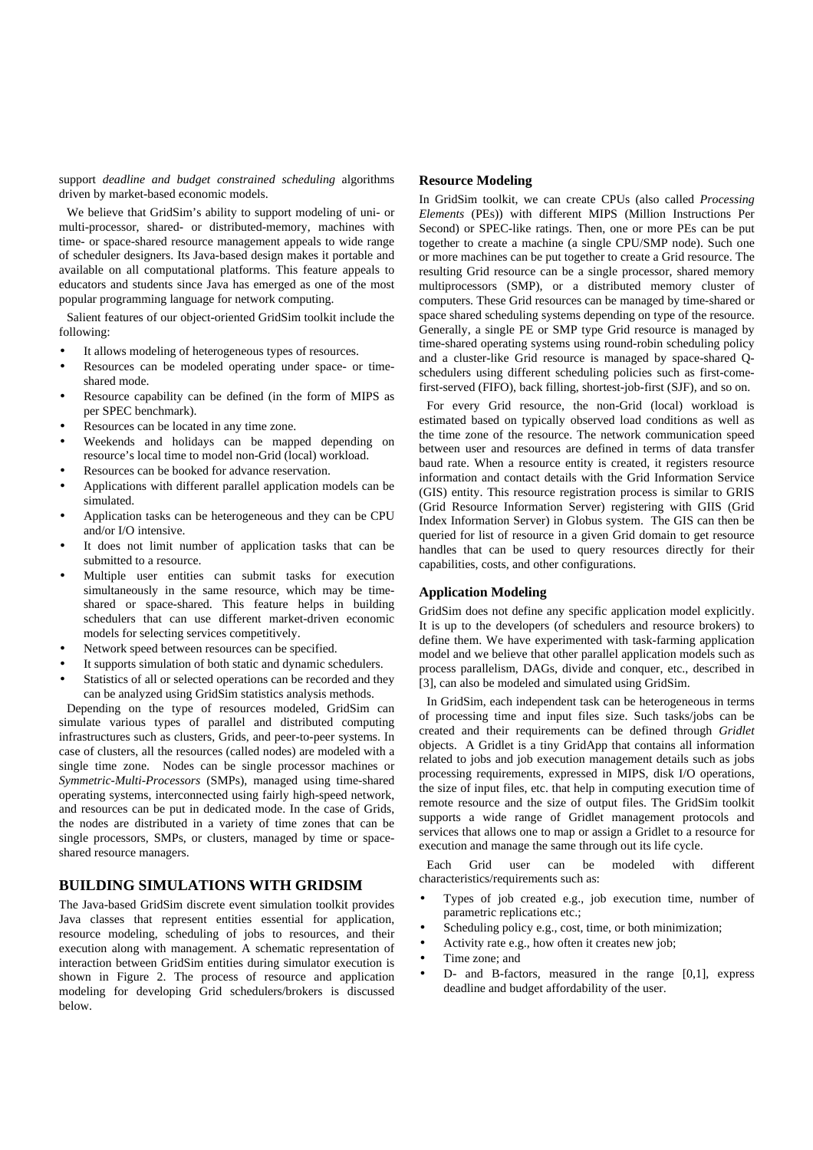support *deadline and budget constrained scheduling* algorithms driven by market-based economic models.

We believe that GridSim's ability to support modeling of uni- or multi-processor, shared- or distributed-memory, machines with time- or space-shared resource management appeals to wide range of scheduler designers. Its Java-based design makes it portable and available on all computational platforms. This feature appeals to educators and students since Java has emerged as one of the most popular programming language for network computing.

Salient features of our object-oriented GridSim toolkit include the following:

- It allows modeling of heterogeneous types of resources.
- Resources can be modeled operating under space- or timeshared mode.
- Resource capability can be defined (in the form of MIPS as per SPEC benchmark).
- Resources can be located in any time zone.
- Weekends and holidays can be mapped depending on resource's local time to model non-Grid (local) workload.
- Resources can be booked for advance reservation.
- Applications with different parallel application models can be simulated.
- Application tasks can be heterogeneous and they can be CPU and/or I/O intensive.
- It does not limit number of application tasks that can be submitted to a resource.
- Multiple user entities can submit tasks for execution simultaneously in the same resource, which may be timeshared or space-shared. This feature helps in building schedulers that can use different market-driven economic models for selecting services competitively.
- Network speed between resources can be specified.
- It supports simulation of both static and dynamic schedulers.
- Statistics of all or selected operations can be recorded and they can be analyzed using GridSim statistics analysis methods.

Depending on the type of resources modeled, GridSim can simulate various types of parallel and distributed computing infrastructures such as clusters, Grids, and peer-to-peer systems. In case of clusters, all the resources (called nodes) are modeled with a single time zone. Nodes can be single processor machines or *Symmetric-Multi-Processors* (SMPs), managed using time-shared operating systems, interconnected using fairly high-speed network, and resources can be put in dedicated mode. In the case of Grids, the nodes are distributed in a variety of time zones that can be single processors, SMPs, or clusters, managed by time or spaceshared resource managers.

# **BUILDING SIMULATIONS WITH GRIDSIM**

The Java-based GridSim discrete event simulation toolkit provides Java classes that represent entities essential for application, resource modeling, scheduling of jobs to resources, and their execution along with management. A schematic representation of interaction between GridSim entities during simulator execution is shown in Figure 2. The process of resource and application modeling for developing Grid schedulers/brokers is discussed below.

### **Resource Modeling**

In GridSim toolkit, we can create CPUs (also called *Processing Elements* (PEs)) with different MIPS (Million Instructions Per Second) or SPEC-like ratings. Then, one or more PEs can be put together to create a machine (a single CPU/SMP node). Such one or more machines can be put together to create a Grid resource. The resulting Grid resource can be a single processor, shared memory multiprocessors (SMP), or a distributed memory cluster of computers. These Grid resources can be managed by time-shared or space shared scheduling systems depending on type of the resource. Generally, a single PE or SMP type Grid resource is managed by time-shared operating systems using round-robin scheduling policy and a cluster-like Grid resource is managed by space-shared Qschedulers using different scheduling policies such as first-comefirst-served (FIFO), back filling, shortest-job-first (SJF), and so on.

For every Grid resource, the non-Grid (local) workload is estimated based on typically observed load conditions as well as the time zone of the resource. The network communication speed between user and resources are defined in terms of data transfer baud rate. When a resource entity is created, it registers resource information and contact details with the Grid Information Service (GIS) entity. This resource registration process is similar to GRIS (Grid Resource Information Server) registering with GIIS (Grid Index Information Server) in Globus system. The GIS can then be queried for list of resource in a given Grid domain to get resource handles that can be used to query resources directly for their capabilities, costs, and other configurations.

### **Application Modeling**

GridSim does not define any specific application model explicitly. It is up to the developers (of schedulers and resource brokers) to define them. We have experimented with task-farming application model and we believe that other parallel application models such as process parallelism, DAGs, divide and conquer, etc., described in [\[3\],](#page-6-19) can also be modeled and simulated using GridSim.

In GridSim, each independent task can be heterogeneous in terms of processing time and input files size. Such tasks/jobs can be created and their requirements can be defined through *Gridlet* objects. A Gridlet is a tiny GridApp that contains all information related to jobs and job execution management details such as jobs processing requirements, expressed in MIPS, disk I/O operations, the size of input files, etc. that help in computing execution time of remote resource and the size of output files. The GridSim toolkit supports a wide range of Gridlet management protocols and services that allows one to map or assign a Gridlet to a resource for execution and manage the same through out its life cycle.

Each Grid user can be modeled with different characteristics/requirements such as:

- Types of job created e.g., job execution time, number of parametric replications etc.;
- Scheduling policy e.g., cost, time, or both minimization;
- Activity rate e.g., how often it creates new job;
- Time zone; and
- D- and B-factors, measured in the range [0,1], express deadline and budget affordability of the user.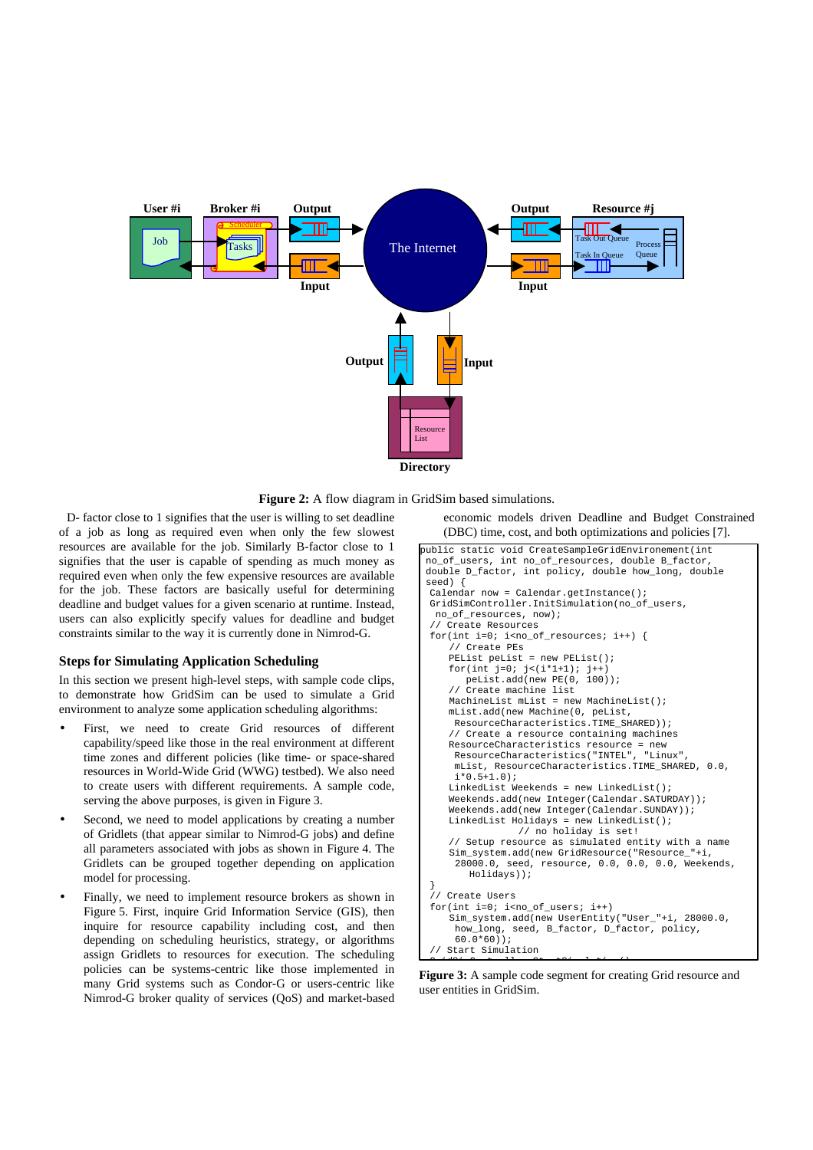

**Figure 2:** A flow diagram in GridSim based simulations.

D- factor close to 1 signifies that the user is willing to set deadline of a job as long as required even when only the few slowest resources are available for the job. Similarly B-factor close to 1 signifies that the user is capable of spending as much money as required even when only the few expensive resources are available for the job. These factors are basically useful for determining deadline and budget values for a given scenario at runtime. Instead, users can also explicitly specify values for deadline and budget constraints similar to the way it is currently done in Nimrod-G.

#### **Steps for Simulating Application Scheduling**

In this section we present high-level steps, with sample code clips, to demonstrate how GridSim can be used to simulate a Grid environment to analyze some application scheduling algorithms:

- First, we need to create Grid resources of different capability/speed like those in the real environment at different time zones and different policies (like time- or space-shared resources in World-Wide Grid (WWG) testbed). We also need to create users with different requirements. A sample code, serving the above purposes, is given in Figure 3.
- Second, we need to model applications by creating a number of Gridlets (that appear similar to Nimrod-G jobs) and define all parameters associated with jobs as shown in Figure 4. The Gridlets can be grouped together depending on application model for processing.
- Finally, we need to implement resource brokers as shown in Figure 5. First, inquire Grid Information Service (GIS), then inquire for resource capability including cost, and then depending on scheduling heuristics, strategy, or algorithms assign Gridlets to resources for execution. The scheduling policies can be systems-centric like those implemented in many Grid systems such as Condor-G or users-centric like Nimrod-G broker quality of services (QoS) and market-based

economic models driven Deadline and Budget Constrained (DBC) time, cost, and both optimizations and policies [\[7\].](#page-6-4)

```
public static void CreateSampleGridEnvironement(int 
no of users, int no of resources, double B factor,
 double D_factor, int policy, double how_long, double 
 seed) { 
 Calendar now = Calendar.getInstance(); 
  GridSimController.InitSimulation(no_of_users, 
   no_of_resources, now); 
    // Create Resources 
 for(int i=0; i<no_of_resources; i++) { 
      // Create PEs 
      PEList peList = new PEList(); 
     for(int j=0; j<(i*1+1); j++) peList.add(new PE(0, 100)); 
        Create machine list
      MachineList mList = new MachineList(); 
      mList.add(new Machine(0, peList, 
       ResourceCharacteristics.TIME_SHARED)); 
      // Create a resource containing machines 
      ResourceCharacteristics resource = new 
       ResourceCharacteristics("INTEL", "Linux", 
       mList, ResourceCharacteristics.TIME_SHARED, 0.0, 
      i * 0.5 + 1.0;
      LinkedList Weekends = new LinkedList(); 
      Weekends.add(new Integer(Calendar.SATURDAY)); 
      Weekends.add(new Integer(Calendar.SUNDAY)); 
      LinkedList Holidays = new LinkedList(); 
                  // no holiday is set! 
      // Setup resource as simulated entity with a name 
     Sim_system.add(new GridResource("Resource_"+i, 
 28000.0, seed, resource, 0.0, 0.0, 0.0, Weekends, 
         Holidays)); 
 } 
 .<br>// Create Users
 for(int i=0; i<no_of_users; i++) 
      Sim_system.add(new UserEntity("User_"+i, 28000.0, 
       how_long, seed, B_factor, D_factor, policy, 
      60.0*60);
   // Start Simulation
```
**Figure 3:** A sample code segment for creating Grid resource and user entities in GridSim.

G ida Ctll St tSi Lat tsi ()<br>St tSi Ctll St tSi ()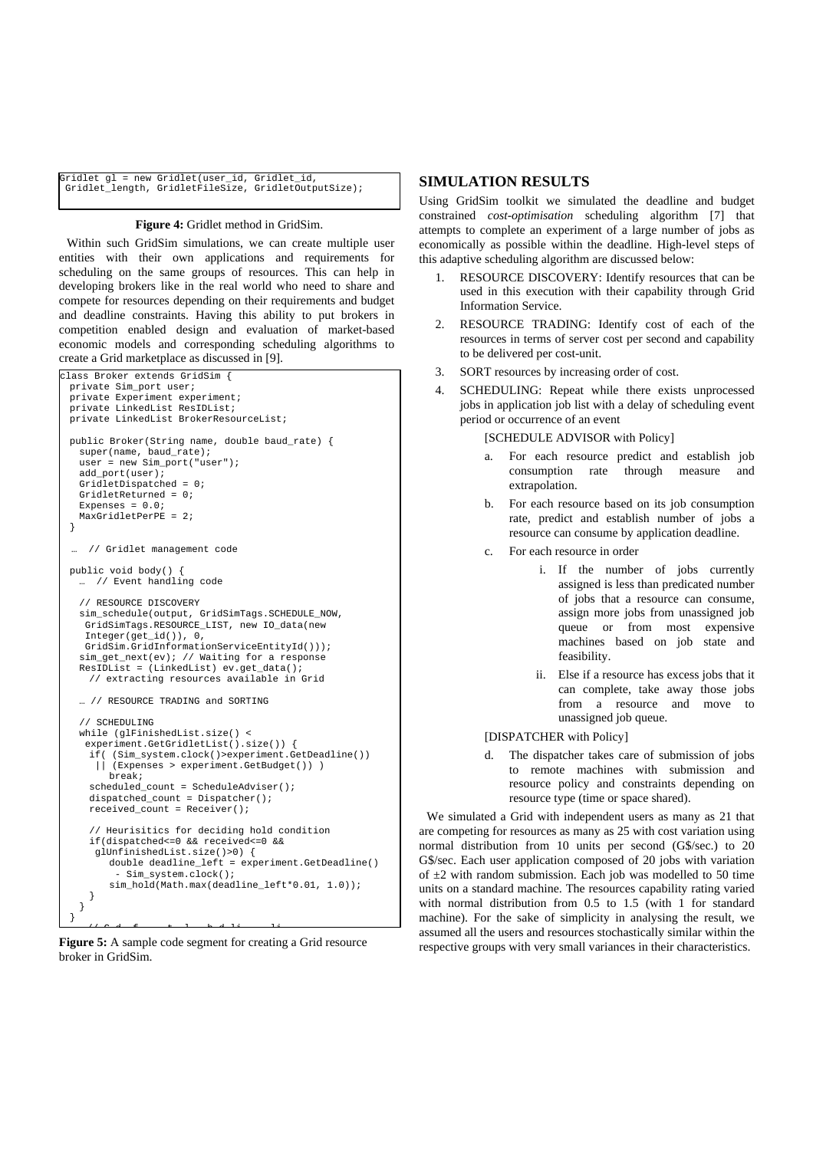| Gridlet ql = new Gridlet(user id, Gridlet id, |                                                      |
|-----------------------------------------------|------------------------------------------------------|
|                                               | Gridlet length, GridletFileSize, GridletOutputSize); |

#### **Figure 4:** Gridlet method in GridSim.

Within such GridSim simulations, we can create multiple user entities with their own applications and requirements for scheduling on the same groups of resources. This can help in developing brokers like in the real world who need to share and compete for resources depending on their requirements and budget and deadline constraints. Having this ability to put brokers in competition enabled design and evaluation of market-based economic models and corresponding scheduling algorithms to create a Grid marketplace as discussed in [\[9\].](#page-6-1)

```
lass Broker extends GridSim { 3. SORT resources by increasing order of cost.
 private Sim_port user; 
  private Experiment experiment; 
 private LinkedList ResIDList; 
  private LinkedList BrokerResourceList; 
  public Broker(String name, double baud_rate) { 
    super(name, baud_rate); 
    user = new Sim_port("user"); 
    add_port(user); 
   GridletDispatched = 0;
    GridletReturned = 0; 
   Expenses = 0.0;
    MaxGridletPerPE = 2; 
  } 
    … // Gridlet management code 
  public void body() { 
      … // Event handling code 
    // RESOURCE DISCOVERY 
   sim_schedule(output, GridSimTags.SCHEDULE_NOW,
     GridSimTags.RESOURCE_LIST, new IO_data(new 
     Integer(get_id()), 0, 
     GridSim.GridInformationServiceEntityId())); 
    sim_get_next(ev); // Waiting for a response 
   ResIDList = (LinkedList) ev.get data();
     // extracting resources available in Grid 
    … // RESOURCE TRADING and SORTING 
    // SCHEDULING 
   while (glFinishedList.size() <
     experiment.GetGridletList().size()) { 
      if( (Sim_system.clock()>experiment.GetDeadline()) 
       || (Expenses > experiment.GetBudget()) ) 
         break; 
     scheduled count = ScheduleAdviser();
     dispatched_count = Dispatcher();
     received_count = Receiver(); 
      // Heurisitics for deciding hold condition 
      if(dispatched<=0 && received<=0 && 
       glUnfinishedList.size()>0) { 
        double deadline_left = experiment.GetDeadline()
           - Sim_system.clock(); 
         sim_hold(Math.max(deadline_left*0.01, 1.0)); 
\begin{array}{ccc} \end{array} } 
 } 
    //Cd f t l hdli li
```


## **SIMULATION RESULTS**

Using GridSim toolkit we simulated the deadline and budget constrained *cost-optimisation* scheduling algorithm [\[7\]](#page-6-4) that attempts to complete an experiment of a large number of jobs as economically as possible within the deadline. High-level steps of this adaptive scheduling algorithm are discussed below:

- 1. RESOURCE DISCOVERY: Identify resources that can be used in this execution with their capability through Grid Information Service.
- 2. RESOURCE TRADING: Identify cost of each of the resources in terms of server cost per second and capability to be delivered per cost-unit.
- 
- 4. SCHEDULING: Repeat while there exists unprocessed jobs in application job list with a delay of scheduling event period or occurrence of an event

[SCHEDULE ADVISOR with Policy]

- a. For each resource predict and establish job consumption rate through measure and extrapolation.
- b. For each resource based on its job consumption rate, predict and establish number of jobs a resource can consume by application deadline.
- c. For each resource in order
	- i. If the number of jobs currently assigned is less than predicated number of jobs that a resource can consume, assign more jobs from unassigned job queue or from most expensive machines based on job state and feasibility.
	- ii. Else if a resource has excess jobs that it can complete, take away those jobs from a resource and move to unassigned job queue.

#### [DISPATCHER with Policy]

d. The dispatcher takes care of submission of jobs to remote machines with submission and resource policy and constraints depending on resource type (time or space shared).

We simulated a Grid with independent users as many as 21 that are competing for resources as many as 25 with cost variation using normal distribution from 10 units per second (G\$/sec.) to 20 G\$/sec. Each user application composed of 20 jobs with variation of  $\pm 2$  with random submission. Each job was modelled to 50 time units on a standard machine. The resources capability rating varied with normal distribution from 0.5 to 1.5 (with 1 for standard machine). For the sake of simplicity in analysing the result, we assumed all the users and resources stochastically similar within the respective groups with very small variances in their characteristics.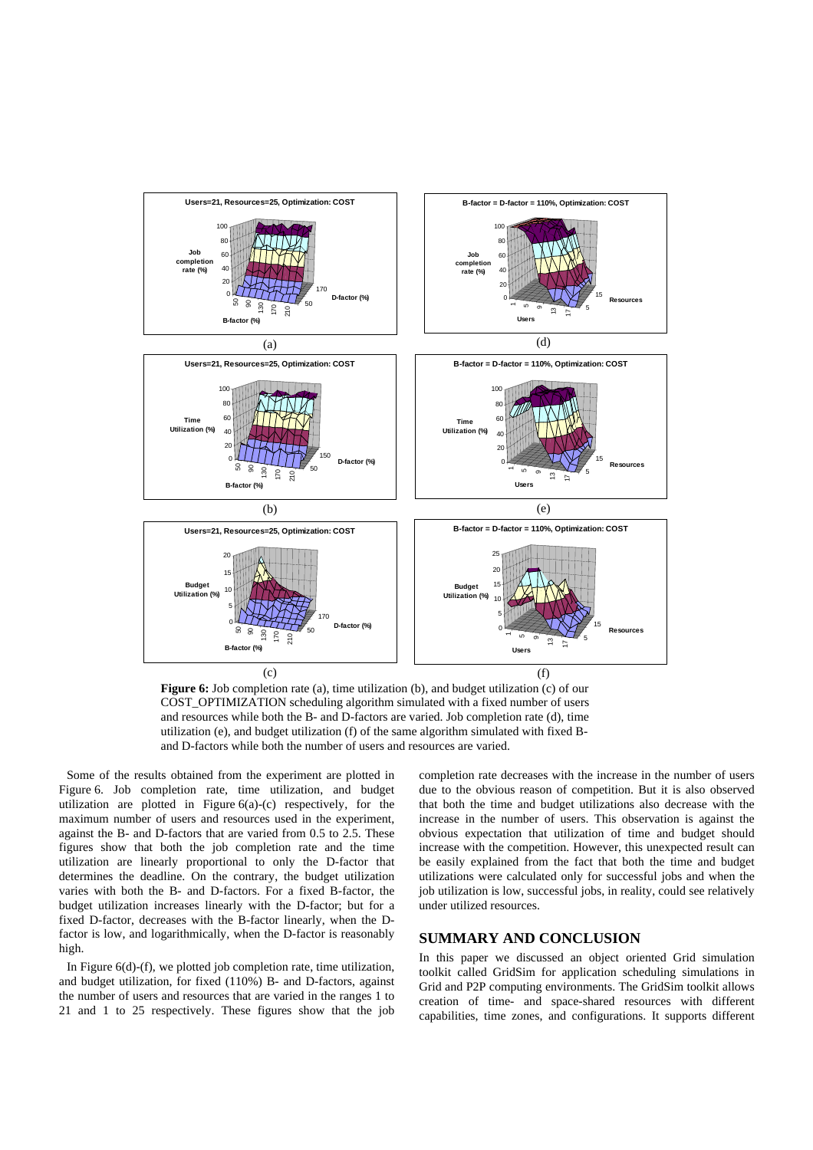

Figure 6: Job completion rate (a), time utilization (b), and budget utilization (c) of our COST\_OPTIMIZATION scheduling algorithm simulated with a fixed number of users and resources while both the B- and D-factors are varied. Job completion rate (d), time utilization (e), and budget utilization (f) of the same algorithm simulated with fixed B-

Some of the results obtained from the experiment are plotted in Figure 6. Job completion rate, time utilization, and budget utilization are plotted in Figure  $6(a)-(c)$  respectively, for the maximum number of users and resources used in the experiment, against the B- and D-factors that are varied from 0.5 to 2.5. These figures show that both the job completion rate and the time utilization are linearly proportional to only the D-factor that determines the deadline. On the contrary, the budget utilization varies with both the B- and D-factors. For a fixed B-factor, the budget utilization increases linearly with the D-factor; but for a fixed D-factor, decreases with the B-factor linearly, when the Dfactor is low, and logarithmically, when the D-factor is reasonably high.

In Figure 6(d)-(f), we plotted job completion rate, time utilization, and budget utilization, for fixed (110%) B- and D-factors, against the number of users and resources that are varied in the ranges 1 to 21 and 1 to 25 respectively. These figures show that the job completion rate decreases with the increase in the number of users due to the obvious reason of competition. But it is also observed that both the time and budget utilizations also decrease with the increase in the number of users. This observation is against the obvious expectation that utilization of time and budget should increase with the competition. However, this unexpected result can be easily explained from the fact that both the time and budget utilizations were calculated only for successful jobs and when the job utilization is low, successful jobs, in reality, could see relatively under utilized resources.

### **SUMMARY AND CONCLUSION**

In this paper we discussed an object oriented Grid simulation toolkit called GridSim for application scheduling simulations in Grid and P2P computing environments. The GridSim toolkit allows creation of time- and space-shared resources with different capabilities, time zones, and configurations. It supports different